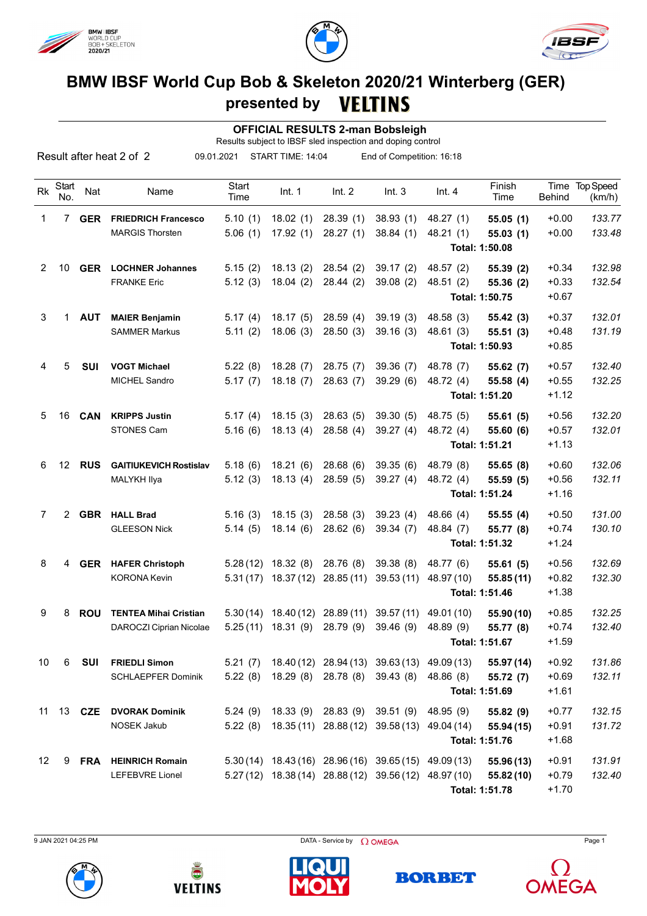





## **BMW IBSF World Cup Bob & Skeleton 2020/21 Winterberg (GER) presented by**

 **OFFICIAL RESULTS 2-man Bobsleigh**

Results subject to IBSF sled inspection and doping control

|                 |              |               | Result after heat 2 of 2      | 09.01.2021    | START TIME: 14:04    |                                        | End of Competition: 16:18                             |            |                            |               |                          |
|-----------------|--------------|---------------|-------------------------------|---------------|----------------------|----------------------------------------|-------------------------------------------------------|------------|----------------------------|---------------|--------------------------|
| Rk              | Start<br>No. | Nat           | Name                          | Start<br>Time | Int. 1               | Int. 2                                 | Int.3                                                 | Int.4      | Finish<br>Time             | <b>Behind</b> | Time Top Speed<br>(km/h) |
| 1               |              | 7 GER         | <b>FRIEDRICH Francesco</b>    | 5.10(1)       | 18.02(1)             | 28.39(1)                               | 38.93(1)                                              | 48.27 (1)  | 55.05(1)                   | $+0.00$       | 133.77                   |
|                 |              |               | <b>MARGIS Thorsten</b>        | 5.06(1)       | 17.92(1)             | 28.27(1)                               | 38.84(1)                                              | 48.21 (1)  | 55.03(1)<br>Total: 1:50.08 | $+0.00$       | 133.48                   |
| 2               | 10           | <b>GER</b>    | <b>LOCHNER Johannes</b>       | 5.15(2)       | 18.13(2)             | 28.54(2)                               | 39.17(2)                                              | 48.57 (2)  | 55.39(2)                   | $+0.34$       | 132.98                   |
|                 |              |               | <b>FRANKE Eric</b>            | 5.12(3)       | 18.04(2)             | 28.44(2)                               | 39.08(2)                                              | 48.51 (2)  | 55.36 (2)                  | $+0.33$       | 132.54                   |
|                 |              |               |                               |               |                      |                                        |                                                       |            | Total: 1:50.75             | $+0.67$       |                          |
| 3               | 1            | <b>AUT</b>    | <b>MAIER Benjamin</b>         | 5.17(4)       | 18.17(5)             | 28.59(4)                               | 39.19(3)                                              | 48.58 (3)  | 55.42(3)                   | $+0.37$       | 132.01                   |
|                 |              |               | <b>SAMMER Markus</b>          | 5.11(2)       | 18.06(3)             | 28.50(3)                               | 39.16(3)                                              | 48.61(3)   | 55.51(3)                   | $+0.48$       | 131.19                   |
|                 |              |               |                               |               |                      |                                        |                                                       |            | Total: 1:50.93             | $+0.85$       |                          |
| 4               | 5            | <b>SUI</b>    | <b>VOGT Michael</b>           | 5.22(8)       | 18.28(7)             | 28.75(7)                               | 39.36(7)                                              | 48.78 (7)  | 55.62(7)                   | $+0.57$       | 132.40                   |
|                 |              |               | <b>MICHEL Sandro</b>          | 5.17(7)       | 18.18(7)             | 28.63(7)                               | 39.29(6)                                              | 48.72 (4)  | 55.58(4)                   | $+0.55$       | 132.25                   |
|                 |              |               |                               |               |                      |                                        |                                                       |            | Total: 1:51.20             | $+1.12$       |                          |
| 5               |              | 16 <b>CAN</b> | <b>KRIPPS Justin</b>          | 5.17(4)       | 18.15(3)             | 28.63(5)                               | 39.30(5)                                              | 48.75 (5)  | 55.61(5)                   | $+0.56$       | 132.20                   |
|                 |              |               | <b>STONES Cam</b>             | 5.16(6)       | 18.13(4)             | 28.58(4)                               | 39.27(4)                                              | 48.72 (4)  | 55.60 (6)                  | $+0.57$       | 132.01                   |
|                 |              |               |                               |               |                      |                                        |                                                       |            | Total: 1:51.21             | $+1.13$       |                          |
| 6.              |              | 12 <b>RUS</b> | <b>GAITIUKEVICH Rostislav</b> | 5.18(6)       | 18.21(6)             | 28.68(6)                               | 39.35(6)                                              | 48.79 (8)  | 55.65(8)                   | $+0.60$       | 132.06                   |
|                 |              |               | MALYKH Ilya                   | 5.12(3)       | 18.13(4)             | 28.59(5)                               | 39.27(4)                                              | 48.72 (4)  | 55.59(5)                   | $+0.56$       | 132.11                   |
|                 |              |               |                               |               |                      |                                        |                                                       |            | Total: 1:51.24             | $+1.16$       |                          |
| 7               |              | 2 GBR         | <b>HALL Brad</b>              | 5.16(3)       | 18.15(3)             | 28.58(3)                               | 39.23(4)                                              | 48.66 (4)  | 55.55(4)                   | $+0.50$       | 131.00                   |
|                 |              |               | <b>GLEESON Nick</b>           | 5.14(5)       | 18.14(6)             | 28.62(6)                               | 39.34(7)                                              | 48.84 (7)  | 55.77 (8)                  | $+0.74$       | 130.10                   |
|                 |              |               |                               |               |                      |                                        |                                                       |            | Total: 1:51.32             | $+1.24$       |                          |
| 8               | 4            | <b>GER</b>    | <b>HAFER Christoph</b>        |               | $5.28(12)$ 18.32 (8) | 28.76 (8)                              | 39.38(8)                                              | 48.77 (6)  | 55.61(5)                   | $+0.56$       | 132.69                   |
|                 |              |               | <b>KORONA Kevin</b>           |               |                      | $5.31(17)$ 18.37 (12) 28.85 (11)       | 39.53(11)                                             | 48.97 (10) | 55.85(11)                  | $+0.82$       | 132.30                   |
|                 |              |               |                               |               |                      |                                        |                                                       |            | Total: 1:51.46             | $+1.38$       |                          |
| 9               | 8            | <b>ROU</b>    | <b>TENTEA Mihai Cristian</b>  |               |                      | $5.30(14)$ 18.40(12) 28.89(11)         | 39.57(11)                                             | 49.01 (10) | 55.90 (10)                 | $+0.85$       | 132.25                   |
|                 |              |               | DAROCZI Ciprian Nicolae       |               | $5.25(11)$ 18.31 (9) | 28.79 (9)                              | 39.46(9)                                              | 48.89 (9)  | 55.77 (8)                  | $+0.74$       | 132.40                   |
|                 |              |               |                               |               |                      |                                        |                                                       |            | Total: 1:51.67             | $+1.59$       |                          |
| 10              | 6            | <b>SUI</b>    | <b>FRIEDLI Simon</b>          |               |                      |                                        | 5.21 (7) 18.40 (12) 28.94 (13) 39.63 (13) 49.09 (13)  |            | 55.97 (14)                 | $+0.92$       | 131.86                   |
|                 |              |               | <b>SCHLAEPFER Dominik</b>     |               |                      | 5.22 (8) 18.29 (8) 28.78 (8) 39.43 (8) |                                                       | 48.86 (8)  | 55.72 (7)                  | $+0.69$       | 132.11                   |
|                 |              |               |                               |               |                      |                                        |                                                       |            | Total: 1:51.69             | $+1.61$       |                          |
| 11              |              | 13 <b>CZE</b> | <b>DVORAK Dominik</b>         | 5.24(9)       |                      |                                        | 18.33 (9) 28.83 (9) 39.51 (9)                         | 48.95 (9)  | 55.82 (9)                  | $+0.77$       | 132.15                   |
|                 |              |               | NOSEK Jakub                   |               |                      |                                        | 5.22 (8) 18.35 (11) 28.88 (12) 39.58 (13) 49.04 (14)  |            | 55.94 (15)                 | $+0.91$       | 131.72                   |
|                 |              |               |                               |               |                      |                                        |                                                       |            | Total: 1:51.76             | $+1.68$       |                          |
| 12 <sup>2</sup> |              | 9 FRA         | <b>HEINRICH Romain</b>        |               |                      |                                        | $5.30(14)$ 18.43(16) 28.96(16) 39.65(15) 49.09(13)    |            | 55.96 (13)                 | $+0.91$       | 131.91                   |
|                 |              |               | LEFEBVRE Lionel               |               |                      |                                        | 5.27 (12) 18.38 (14) 28.88 (12) 39.56 (12) 48.97 (10) |            | 55.82 (10)                 | $+0.79$       | 132.40                   |
|                 |              |               |                               |               |                      |                                        |                                                       |            | Total: 1:51.78             | $+1.70$       |                          |

9 JAN 2021 04:25 PM Page 1



**VELTINS**